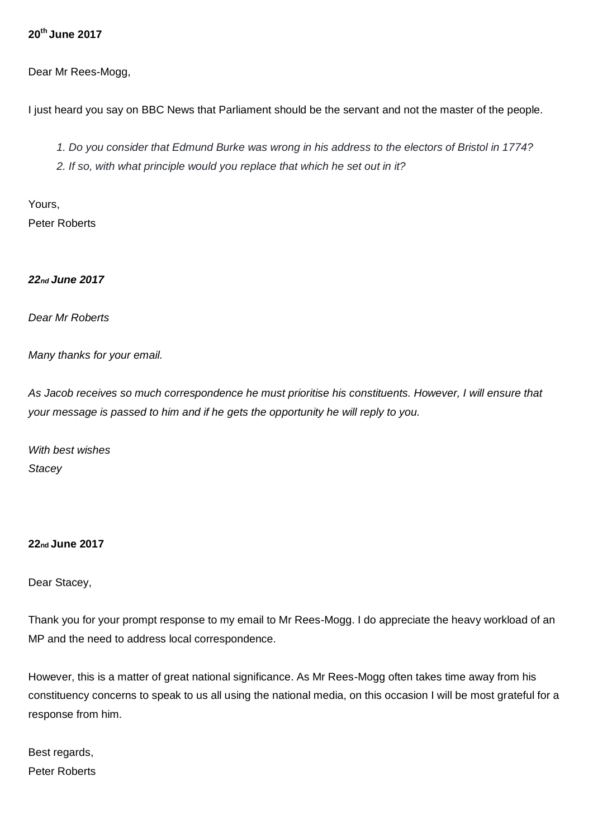## **20 th June 2017**

Dear Mr Rees-Mogg,

I just heard you say on BBC News that Parliament should be the servant and not the master of the people.

*1. Do you consider that Edmund Burke was wrong in his address to the electors of Bristol in 1774?*

*2. If so, with what principle would you replace that which he set out in it?*

Yours, Peter Roberts

## *22nd June 2017*

*Dear Mr Roberts*

*Many thanks for your email.*

*As Jacob receives so much correspondence he must prioritise his constituents. However, I will ensure that your message is passed to him and if he gets the opportunity he will reply to you.*

*With best wishes Stacey* 

**22nd June 2017** 

Dear Stacey,

Thank you for your prompt response to my email to Mr Rees-Mogg. I do appreciate the heavy workload of an MP and the need to address local correspondence.

However, this is a matter of great national significance. As Mr Rees-Mogg often takes time away from his constituency concerns to speak to us all using the national media, on this occasion I will be most grateful for a response from him.

Best regards, Peter Roberts